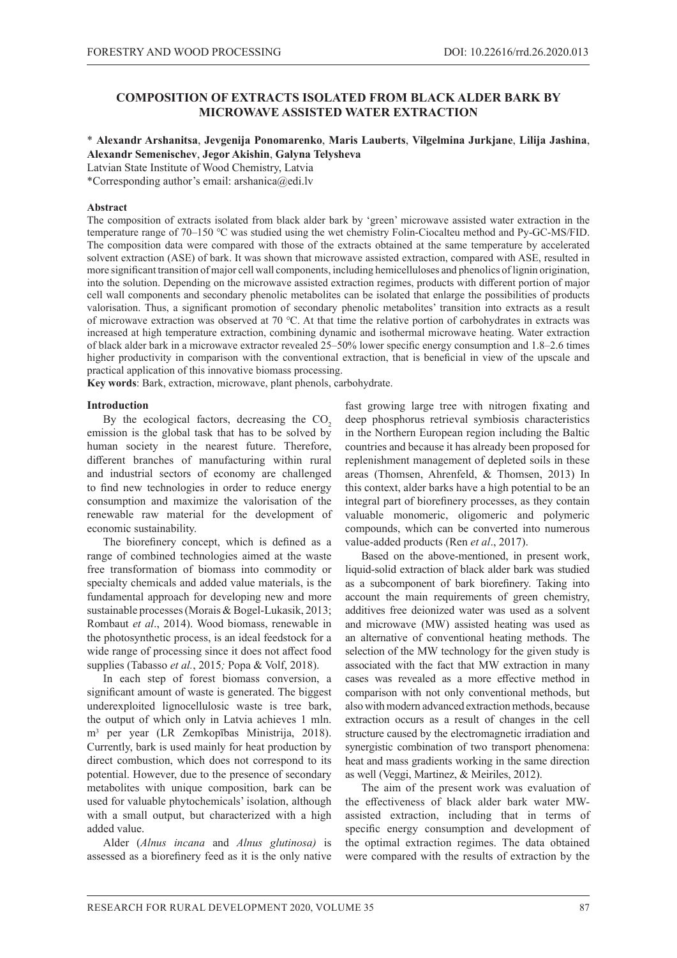# **COMPOSITION OF EXTRACTS ISOLATED FROM BLACK ALDER BARK BY MICROWAVE ASSISTED WATER EXTRACTION**

#### \* **Alexandr Arshanitsa**, **Jevgenija Ponomarenko**, **Maris Lauberts**, **Vilgelmina Jurkjane**, **Lilija Jashina**, **Alexandr Semenischev**, **Jegor Akishin**, **Galyna Telysheva**

Latvian State Institute of Wood Chemistry, Latvia

\*Corresponding author's email: arshanica@edi.lv

#### **Abstract**

The composition of extracts isolated from black alder bark by 'green' microwave assisted water extraction in the temperature range of 70–150 ℃ was studied using the wet chemistry Folin-Ciocalteu method and Py-GC-MS/FID. The composition data were compared with those of the extracts obtained at the same temperature by accelerated solvent extraction (ASE) of bark. It was shown that microwave assisted extraction, compared with ASE, resulted in more significant transition of major cell wall components, including hemicelluloses and phenolics of lignin origination, into the solution. Depending on the microwave assisted extraction regimes, products with different portion of major cell wall components and secondary phenolic metabolites can be isolated that enlarge the possibilities of products valorisation. Thus, a significant promotion of secondary phenolic metabolites' transition into extracts as a result of microwave extraction was observed at 70 ℃. At that time the relative portion of carbohydrates in extracts was increased at high temperature extraction, combining dynamic and isothermal microwave heating. Water extraction of black alder bark in a microwave extractor revealed 25–50% lower specific energy consumption and 1.8–2.6 times higher productivity in comparison with the conventional extraction, that is beneficial in view of the upscale and practical application of this innovative biomass processing.

**Key words**: Bark, extraction, microwave, plant phenols, carbohydrate.

#### **Introduction**

By the ecological factors, decreasing the  $CO<sub>2</sub>$ emission is the global task that has to be solved by human society in the nearest future. Therefore, different branches of manufacturing within rural and industrial sectors of economy are challenged to find new technologies in order to reduce energy consumption and maximize the valorisation of the renewable raw material for the development of economic sustainability.

The biorefinery concept, which is defined as a range of combined technologies aimed at the waste free transformation of biomass into commodity or specialty chemicals and added value materials, is the fundamental approach for developing new and more sustainable processes (Morais & Bogel-Lukasik, 2013; Rombaut *et al*., 2014). Wood biomass, renewable in the photosynthetic process, is an ideal feedstock for a wide range of processing since it does not affect food supplies (Tabasso *et al.*, 2015*;* Popa & Volf, 2018).

In each step of forest biomass conversion, a significant amount of waste is generated. The biggest underexploited lignocellulosic waste is tree bark, the output of which only in Latvia achieves 1 mln. m3 per year (LR Zemkopības Ministrija, 2018). Currently, bark is used mainly for heat production by direct combustion, which does not correspond to its potential. However, due to the presence of secondary metabolites with unique composition, bark can be used for valuable phytochemicals' isolation, although with a small output, but characterized with a high added value.

Alder (*Alnus incana* and *Alnus glutinosa)* is assessed as a biorefinery feed as it is the only native fast growing large tree with nitrogen fixating and deep phosphorus retrieval symbiosis characteristics in the Northern European region including the Baltic countries and because it has already been proposed for replenishment management of depleted soils in these areas (Thomsen, Ahrenfeld, & Thomsen, 2013) In this context, alder barks have a high potential to be an integral part of biorefinery processes, as they contain valuable monomeric, oligomeric and polymeric compounds, which can be converted into numerous value-added products (Ren *et al*., 2017).

Based on the above-mentioned, in present work, liquid-solid extraction of black alder bark was studied as a subcomponent of bark biorefinery. Taking into account the main requirements of green chemistry, additives free deionized water was used as a solvent and microwave (MW) assisted heating was used as an alternative of conventional heating methods. The selection of the MW technology for the given study is associated with the fact that MW extraction in many cases was revealed as a more effective method in comparison with not only conventional methods, but also with modern advanced extraction methods, because extraction occurs as a result of changes in the cell structure caused by the electromagnetic irradiation and synergistic combination of two transport phenomena: heat and mass gradients working in the same direction as well (Veggi, Martinez, & Meiriles, 2012).

The aim of the present work was evaluation of the effectiveness of black alder bark water MWassisted extraction, including that in terms of specific energy consumption and development of the optimal extraction regimes. The data obtained were compared with the results of extraction by the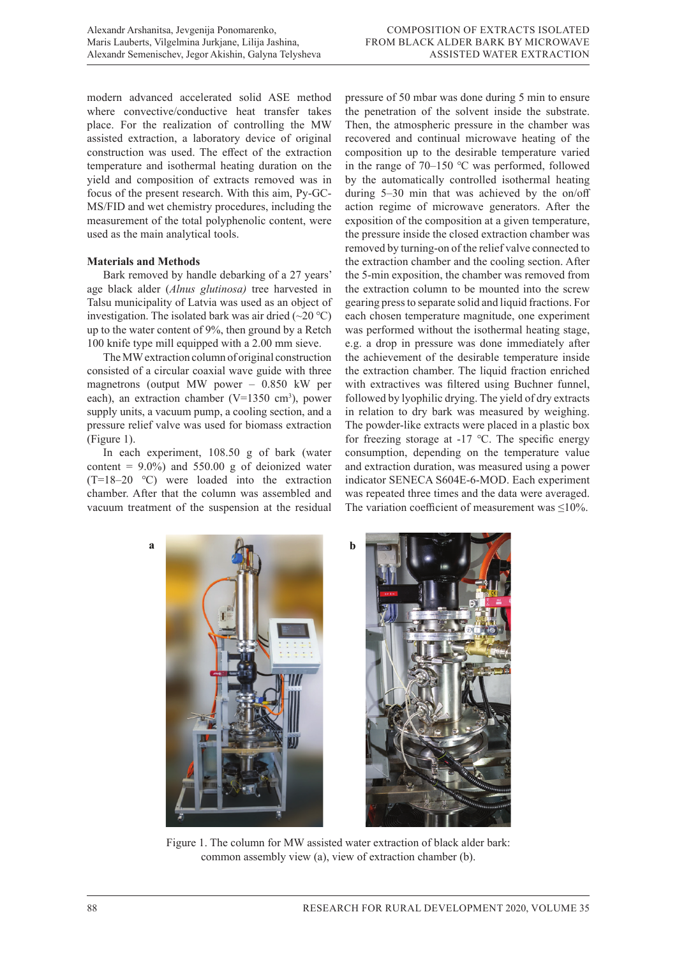modern advanced accelerated solid ASE method where convective/conductive heat transfer takes place. For the realization of controlling the MW assisted extraction, a laboratory device of original construction was used. The effect of the extraction temperature and isothermal heating duration on the yield and composition of extracts removed was in focus of the present research. With this aim, Py-GC-MS/FID and wet chemistry procedures, including the measurement of the total polyphenolic content, were used as the main analytical tools.

## **Materials and Methods**

Bark removed by handle debarking of a 27 years' age black alder (*Alnus glutinosa)* tree harvested in Talsu municipality of Latvia was used as an object of investigation. The isolated bark was air dried  $(\sim 20 \degree C)$ up to the water content of 9%, then ground by a Retch 100 knife type mill equipped with a 2.00 mm sieve.

The MW extraction column of original construction consisted of a circular coaxial wave guide with three magnetrons (output MW power – 0.850 kW per each), an extraction chamber ( $V=1350$  cm<sup>3</sup>), power supply units, a vacuum pump, a cooling section, and a pressure relief valve was used for biomass extraction (Figure 1).

In each experiment, 108.50 g of bark (water content =  $9.0\%$ ) and  $550.00 \text{ g}$  of deionized water (T=18–20 ℃) were loaded into the extraction chamber. After that the column was assembled and vacuum treatment of the suspension at the residual

pressure of 50 mbar was done during 5 min to ensure the penetration of the solvent inside the substrate. Then, the atmospheric pressure in the chamber was recovered and continual microwave heating of the composition up to the desirable temperature varied in the range of 70–150 ℃ was performed, followed by the automatically controlled isothermal heating during 5–30 min that was achieved by the on/off action regime of microwave generators. After the exposition of the composition at a given temperature, the pressure inside the closed extraction chamber was removed by turning-on of the relief valve connected to the extraction chamber and the cooling section. After the 5-min exposition, the chamber was removed from the extraction column to be mounted into the screw gearing press to separate solid and liquid fractions. For each chosen temperature magnitude, one experiment was performed without the isothermal heating stage, e.g. a drop in pressure was done immediately after the achievement of the desirable temperature inside the extraction chamber. The liquid fraction enriched with extractives was filtered using Buchner funnel, followed by lyophilic drying. The yield of dry extracts in relation to dry bark was measured by weighing. The powder-like extracts were placed in a plastic box for freezing storage at -17 ℃. The specific energy consumption, depending on the temperature value and extraction duration, was measured using a power indicator SENECA S604E-6-MOD. Each experiment was repeated three times and the data were averaged. The variation coefficient of measurement was ≤10%.



Figure 1. The column for MW assisted water extraction of black alder bark: common assembly view (a), view of extraction chamber (b).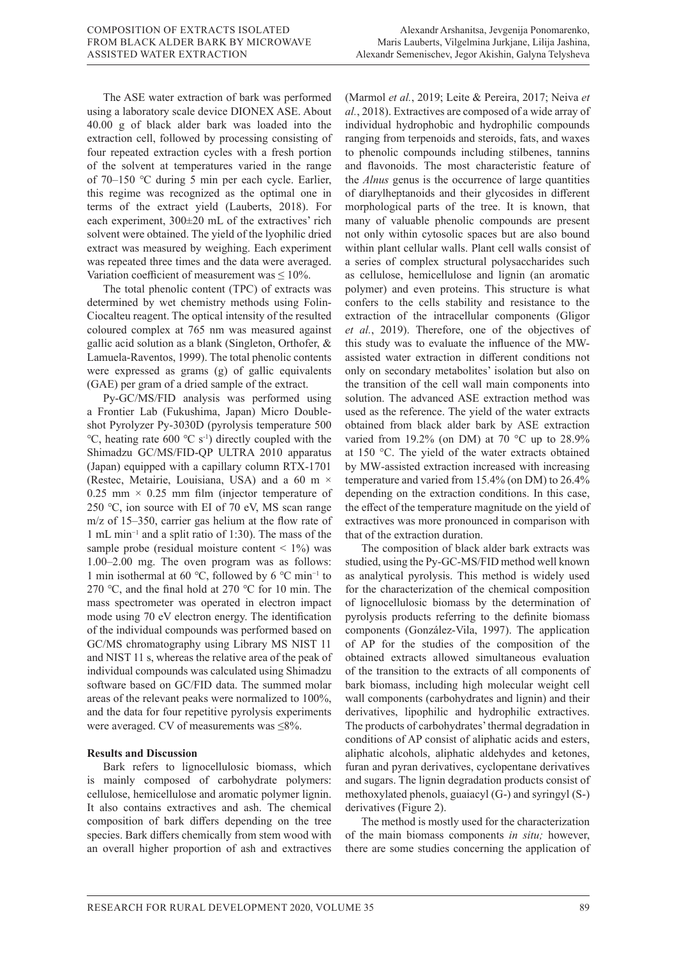The ASE water extraction of bark was performed using a laboratory scale device DIONEX ASE. About 40.00 g of black alder bark was loaded into the extraction cell, followed by processing consisting of four repeated extraction cycles with a fresh portion of the solvent at temperatures varied in the range of 70–150 ℃ during 5 min per each cycle. Earlier, this regime was recognized as the optimal one in terms of the extract yield (Lauberts, 2018). For each experiment, 300±20 mL of the extractives' rich solvent were obtained. The yield of the lyophilic dried extract was measured by weighing. Each experiment was repeated three times and the data were averaged. Variation coefficient of measurement was  $\leq 10\%$ .

The total phenolic content (TPC) of extracts was determined by wet chemistry methods using Folin-Ciocalteu reagent. The optical intensity of the resulted coloured complex at 765 nm was measured against gallic acid solution as a blank (Singleton, Orthofer, & Lamuela-Raventos, 1999). The total phenolic contents were expressed as grams (g) of gallic equivalents (GAE) per gram of a dried sample of the extract.

Py-GC/MS/FID analysis was performed using a Frontier Lab (Fukushima, Japan) Micro Doubleshot Pyrolyzer Py-3030D (pyrolysis temperature 500 °C, heating rate 600 °C s<sup>-1</sup>) directly coupled with the Shimadzu GC/MS/FID-QP ULTRA 2010 apparatus (Japan) equipped with a capillary column RTX-1701 (Restec, Metairie, Louisiana, USA) and a 60 m × 0.25 mm  $\times$  0.25 mm film (injector temperature of 250 ℃, ion source with EI of 70 eV, MS scan range m/z of 15–350, carrier gas helium at the flow rate of 1 mL min−1 and a split ratio of 1:30). The mass of the sample probe (residual moisture content  $\leq 1\%$ ) was 1.00–2.00 mg. The oven program was as follows: 1 min isothermal at 60 ℃, followed by 6 ℃ min−1 to 270 ℃, and the final hold at 270 ℃ for 10 min. The mass spectrometer was operated in electron impact mode using 70 eV electron energy. The identification of the individual compounds was performed based on GC/MS chromatography using Library MS NIST 11 and NIST 11 s, whereas the relative area of the peak of individual compounds was calculated using Shimadzu software based on GC/FID data. The summed molar areas of the relevant peaks were normalized to 100%, and the data for four repetitive pyrolysis experiments were averaged. CV of measurements was ≤8%.

## **Results and Discussion**

Bark refers to lignocellulosic biomass, which is mainly composed of carbohydrate polymers: cellulose, hemicellulose and aromatic polymer lignin. It also contains extractives and ash. The chemical composition of bark differs depending on the tree species. Bark differs chemically from stem wood with an overall higher proportion of ash and extractives (Marmol *et al.*, 2019; Leite & Pereira, 2017; Neiva *et al.*, 2018). Extractives are composed of a wide array of individual hydrophobic and hydrophilic compounds ranging from terpenoids and steroids, fats, and waxes to phenolic compounds including stilbenes, tannins and flavonoids. The most characteristic feature of the *Alnus* genus is the occurrence of large quantities of diarylheptanoids and their glycosides in different morphological parts of the tree. It is known, that many of valuable phenolic compounds are present not only within cytosolic spaces but are also bound within plant cellular walls. Plant cell walls consist of a series of complex structural polysaccharides such as cellulose, hemicellulose and lignin (an aromatic polymer) and even proteins. This structure is what confers to the cells stability and resistance to the extraction of the intracellular components (Gligor *et al.*, 2019). Therefore, one of the objectives of this study was to evaluate the influence of the MWassisted water extraction in different conditions not only on secondary metabolites' isolation but also on the transition of the cell wall main components into solution. The advanced ASE extraction method was used as the reference. The yield of the water extracts obtained from black alder bark by ASE extraction varied from 19.2% (on DM) at 70 °C up to 28.9% at 150 °C. The yield of the water extracts obtained by MW-assisted extraction increased with increasing temperature and varied from 15.4% (on DM) to 26.4% depending on the extraction conditions. In this case, the effect of the temperature magnitude on the yield of extractives was more pronounced in comparison with that of the extraction duration.

The composition of black alder bark extracts was studied, using the Py-GC-MS/FID method well known as analytical pyrolysis. This method is widely used for the characterization of the chemical composition of lignocellulosic biomass by the determination of pyrolysis products referring to the definite biomass components (González-Vila, 1997). The application of AP for the studies of the composition of the obtained extracts allowed simultaneous evaluation of the transition to the extracts of all components of bark biomass, including high molecular weight cell wall components (carbohydrates and lignin) and their derivatives, lipophilic and hydrophilic extractives. The products of carbohydrates' thermal degradation in conditions of AP consist of aliphatic acids and esters, aliphatic alcohols, aliphatic aldehydes and ketones, furan and pyran derivatives, cyclopentane derivatives and sugars. The lignin degradation products consist of methoxylated phenols, guaiacyl (G-) and syringyl (S-) derivatives (Figure 2).

The method is mostly used for the characterization of the main biomass components *in situ;* however, there are some studies concerning the application of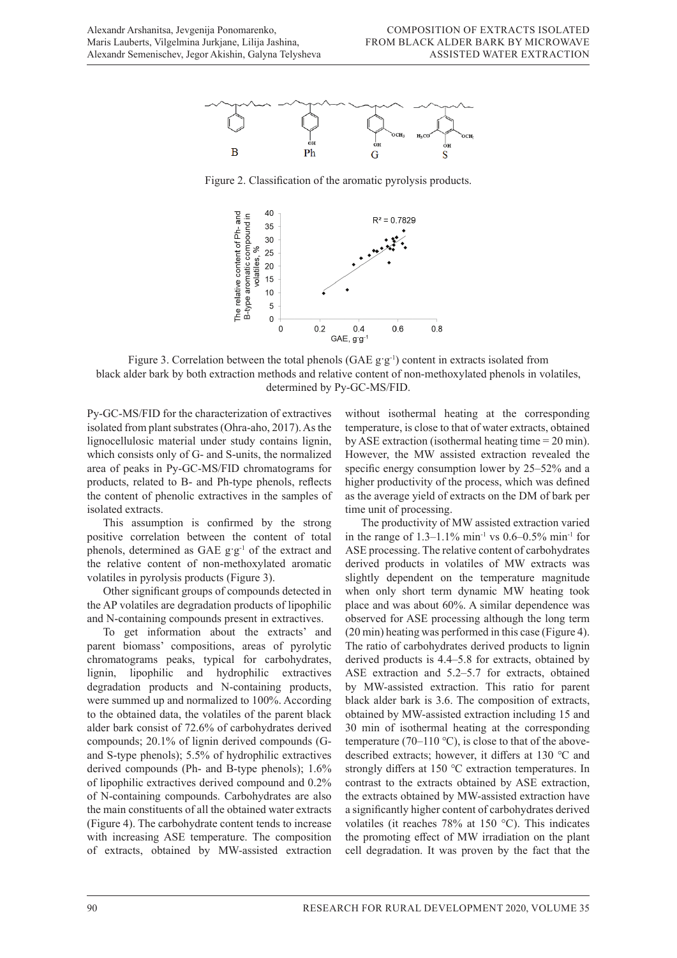

Figure 2. Classification of the aromatic pyrolysis products.



Figure 3. Correlation between the total phenols  $(GAE g g<sup>-1</sup>)$  content in extracts isolated from black alder bark by both extraction methods and relative content of non-methoxylated phenols in volatiles, determined by Py-GC-MS/FID.

Py-GC-MS/FID for the characterization of extractives isolated from plant substrates (Ohra-aho, 2017). As the lignocellulosic material under study contains lignin, which consists only of G- and S-units, the normalized area of peaks in Py-GC-MS/FID chromatograms for products, related to B- and Ph-type phenols, reflects the content of phenolic extractives in the samples of isolated extracts.

This assumption is confirmed by the strong positive correlation between the content of total phenols, determined as GAE g·g<sup>-1</sup> of the extract and the relative content of non-methoxylated aromatic volatiles in pyrolysis products (Figure 3).

Other significant groups of compounds detected in the AP volatiles are degradation products of lipophilic and N-containing compounds present in extractives.

To get information about the extracts' and parent biomass' compositions, areas of pyrolytic chromatograms peaks, typical for carbohydrates, lignin, lipophilic and hydrophilic extractives degradation products and N-containing products, were summed up and normalized to 100%. According to the obtained data, the volatiles of the parent black alder bark consist of 72.6% of carbohydrates derived compounds; 20.1% of lignin derived compounds (Gand S-type phenols); 5.5% of hydrophilic extractives derived compounds (Ph- and B-type phenols); 1.6% of lipophilic extractives derived compound and 0.2% of N-containing compounds. Carbohydrates are also the main constituents of all the obtained water extracts (Figure 4). The carbohydrate content tends to increase with increasing ASE temperature. The composition of extracts, obtained by MW-assisted extraction

without isothermal heating at the corresponding temperature, is close to that of water extracts, obtained by ASE extraction (isothermal heating time = 20 min). However, the MW assisted extraction revealed the specific energy consumption lower by 25–52% and a higher productivity of the process, which was defined as the average yield of extracts on the DM of bark per time unit of processing.

The productivity of MW assisted extraction varied in the range of  $1.3-1.1\%$  min<sup>-1</sup> vs  $0.6-0.5\%$  min<sup>-1</sup> for ASE processing. The relative content of carbohydrates derived products in volatiles of MW extracts was slightly dependent on the temperature magnitude when only short term dynamic MW heating took place and was about 60%. A similar dependence was observed for ASE processing although the long term (20 min) heating was performed in this case (Figure 4). The ratio of carbohydrates derived products to lignin derived products is 4.4–5.8 for extracts, obtained by ASE extraction and 5.2–5.7 for extracts, obtained by MW-assisted extraction. This ratio for parent black alder bark is 3.6. The composition of extracts, obtained by MW-assisted extraction including 15 and 30 min of isothermal heating at the corresponding temperature (70–110 °C), is close to that of the abovedescribed extracts; however, it differs at 130 ℃ and strongly differs at 150 ℃ extraction temperatures. In contrast to the extracts obtained by ASE extraction, the extracts obtained by MW-assisted extraction have a significantly higher content of carbohydrates derived volatiles (it reaches 78% at 150 °C). This indicates the promoting effect of MW irradiation on the plant cell degradation. It was proven by the fact that the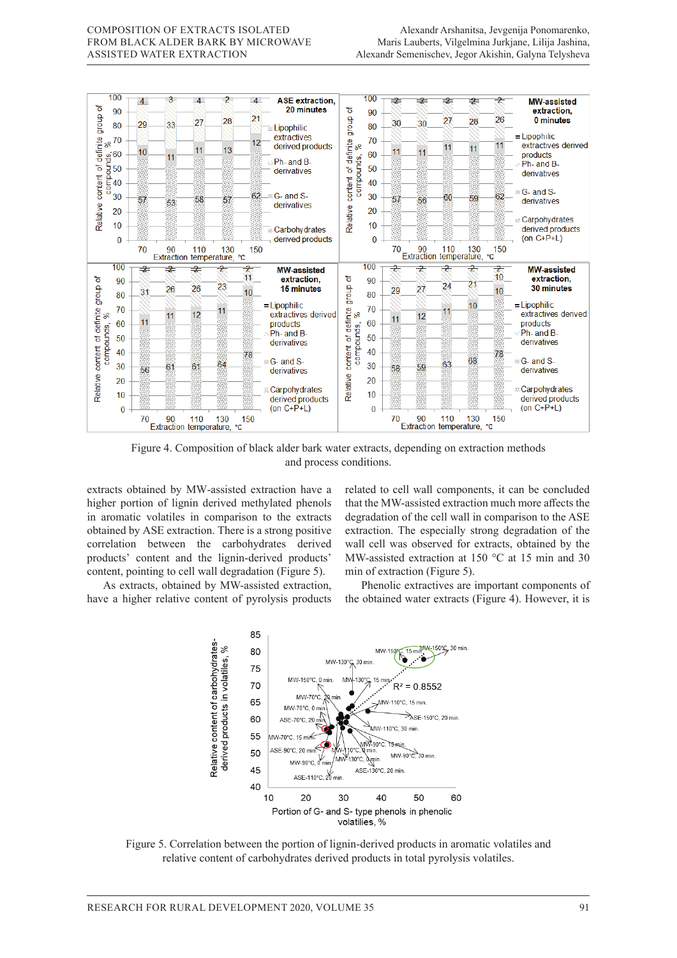

Figure 4. Composition of black alder bark water extracts, depending on extraction methods and process conditions.

extracts obtained by MW-assisted extraction have a higher portion of lignin derived methylated phenols in aromatic volatiles in comparison to the extracts obtained by ASE extraction. There is a strong positive correlation between the carbohydrates derived products' content and the lignin-derived products' content, pointing to cell wall degradation (Figure 5).

As extracts, obtained by MW-assisted extraction, have a higher relative content of pyrolysis products related to cell wall components, it can be concluded that the MW-assisted extraction much more affects the degradation of the cell wall in comparison to the ASE extraction. The especially strong degradation of the wall cell was observed for extracts, obtained by the MW-assisted extraction at 150 °C at 15 min and 30 min of extraction (Figure 5).

Phenolic extractives are important components of the obtained water extracts (Figure 4). However, it is



Figure 5. Correlation between the portion of lignin-derived products in aromatic volatiles and relative content of carbohydrates derived products in total pyrolysis volatiles.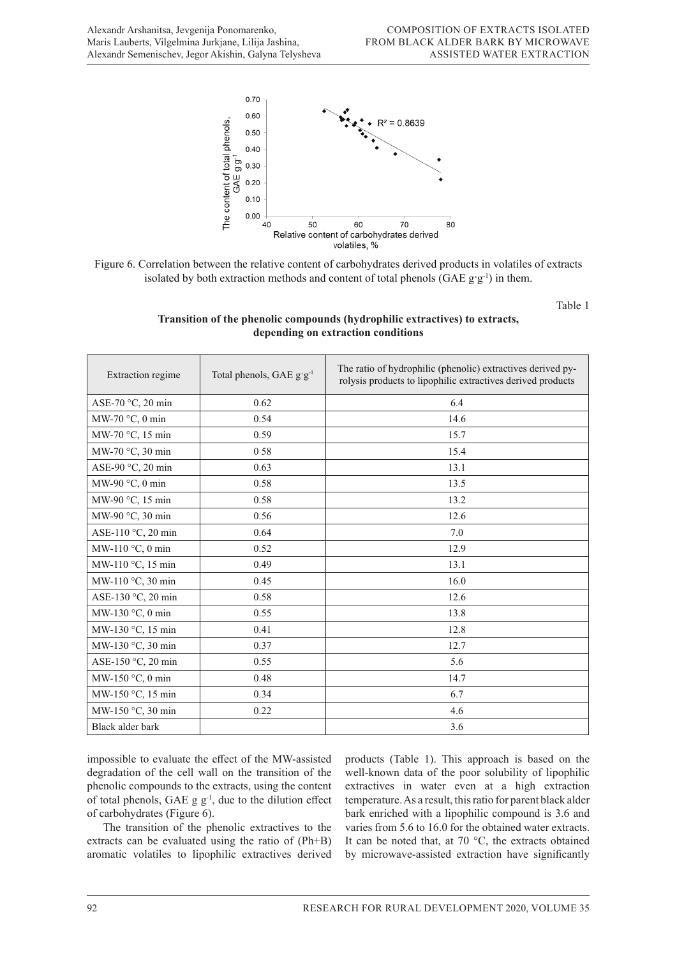



Table 1

# **Transition of the phenolic compounds (hydrophilic extractives) to extracts, depending on extraction conditions**

| Extraction regime         | Total phenols, GAE g'g <sup>-1</sup> | The ratio of hydrophilic (phenolic) extractives derived py-<br>rolysis products to lipophilic extractives derived products |
|---------------------------|--------------------------------------|----------------------------------------------------------------------------------------------------------------------------|
| ASE-70 °C, 20 min         | 0.62                                 | 6.4                                                                                                                        |
| MW-70 $\degree$ C, 0 min  | 0.54                                 | 14.6                                                                                                                       |
| MW-70 °C, 15 min          | 0.59                                 | 15.7                                                                                                                       |
| MW-70 °C, 30 min          | 0.58                                 | 15.4                                                                                                                       |
| ASE-90 °C, 20 min         | 0.63                                 | 13.1                                                                                                                       |
| MW-90 °C, 0 min           | 0.58                                 | 13.5                                                                                                                       |
| MW-90 °C, 15 min          | 0.58                                 | 13.2                                                                                                                       |
| MW-90 °C, 30 min          | 0.56                                 | 12.6                                                                                                                       |
| ASE-110 °C, 20 min        | 0.64                                 | 7.0                                                                                                                        |
| MW-110 °C, 0 min          | 0.52                                 | 12.9                                                                                                                       |
| MW-110 °C, 15 min         | 0.49                                 | 13.1                                                                                                                       |
| MW-110 °C, 30 min         | 0.45                                 | 16.0                                                                                                                       |
| ASE-130 °C, 20 min        | 0.58                                 | 12.6                                                                                                                       |
| MW-130 $\degree$ C, 0 min | 0.55                                 | 13.8                                                                                                                       |
| MW-130 °C, 15 min         | 0.41                                 | 12.8                                                                                                                       |
| MW-130 °C, 30 min         | 0.37                                 | 12.7                                                                                                                       |
| ASE-150 °C, 20 min        | 0.55                                 | 5.6                                                                                                                        |
| MW-150 °C, 0 min          | 0.48                                 | 14.7                                                                                                                       |
| MW-150 °C, 15 min         | 0.34                                 | 6.7                                                                                                                        |
| MW-150 °C, 30 min         | 0.22                                 | 4.6                                                                                                                        |
| Black alder bark          |                                      | 3.6                                                                                                                        |

impossible to evaluate the effect of the MW-assisted degradation of the cell wall on the transition of the phenolic compounds to the extracts, using the content of total phenols, GAE  $g g^{-1}$ , due to the dilution effect of carbohydrates (Figure 6).

The transition of the phenolic extractives to the extracts can be evaluated using the ratio of (Ph+B) aromatic volatiles to lipophilic extractives derived

products (Table 1). This approach is based on the well-known data of the poor solubility of lipophilic extractives in water even at a high extraction temperature. As a result, this ratio for parent black alder bark enriched with a lipophilic compound is 3.6 and varies from 5.6 to 16.0 for the obtained water extracts. It can be noted that, at 70 °C, the extracts obtained by microwave-assisted extraction have significantly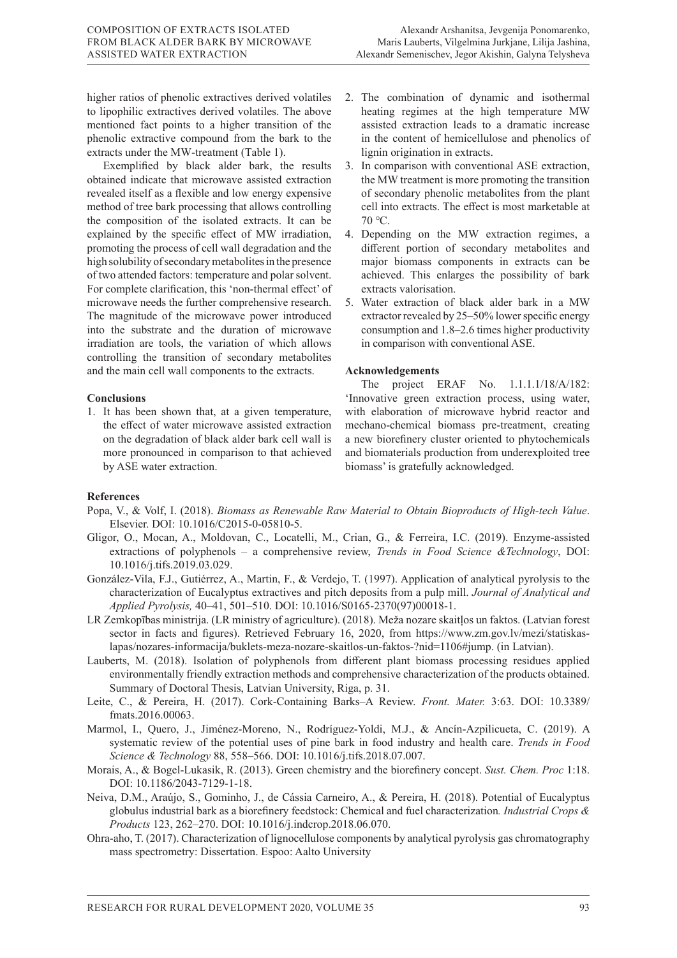higher ratios of phenolic extractives derived volatiles to lipophilic extractives derived volatiles. The above mentioned fact points to a higher transition of the phenolic extractive compound from the bark to the extracts under the MW-treatment (Table 1).

Exemplified by black alder bark, the results obtained indicate that microwave assisted extraction revealed itself as a flexible and low energy expensive method of tree bark processing that allows controlling the composition of the isolated extracts. It can be explained by the specific effect of MW irradiation, promoting the process of cell wall degradation and the high solubility of secondary metabolites in the presence of two attended factors: temperature and polar solvent. For complete clarification, this 'non-thermal effect' of microwave needs the further comprehensive research. The magnitude of the microwave power introduced into the substrate and the duration of microwave irradiation are tools, the variation of which allows controlling the transition of secondary metabolites and the main cell wall components to the extracts.

## **Conclusions**

1. It has been shown that, at a given temperature, the effect of water microwave assisted extraction on the degradation of black alder bark cell wall is more pronounced in comparison to that achieved by ASE water extraction.

- 2. The combination of dynamic and isothermal heating regimes at the high temperature MW assisted extraction leads to a dramatic increase in the content of hemicellulose and phenolics of lignin origination in extracts.
- 3. In comparison with conventional ASE extraction, the MW treatment is more promoting the transition of secondary phenolic metabolites from the plant cell into extracts. The effect is most marketable at 70 ℃.
- 4. Depending on the MW extraction regimes, a different portion of secondary metabolites and major biomass components in extracts can be achieved. This enlarges the possibility of bark extracts valorisation.
- 5. Water extraction of black alder bark in a MW extractor revealed by 25–50% lower specific energy consumption and 1.8–2.6 times higher productivity in comparison with conventional ASE.

#### **Acknowledgements**

The project ERAF No. 1.1.1.1/18/A/182: 'Innovative green extraction process, using water, with elaboration of microwave hybrid reactor and mechano-chemical biomass pre-treatment, creating a new biorefinery cluster oriented to phytochemicals and biomaterials production from underexploited tree biomass' is gratefully acknowledged.

## **References**

- Popa, V., & Volf, I. (2018). *Biomass as Renewable Raw Material to Obtain Bioproducts of High-tech Value*. Elsevier. DOI: 10.1016/C2015-0-05810-5.
- Gligor, O., Mocan, A., Moldovan, C., Locatelli, M., Crian, G., & Ferreira, I.C. (2019). Enzyme-assisted extractions of polyphenols – a comprehensive review, *Trends in Food Science &Technology*, DOI: 10.1016/j.tifs.2019.03.029.
- González-Vila, F.J., Gutiérrez, A., Martin, F., & Verdejo, T. (1997). Application of analytical pyrolysis to the characterization of Eucalyptus extractives and pitch deposits from a pulp mill. *Journal of Analytical and Applied Pyrolysis,* 40–41, 501–510. DOI: 10.1016/S0165-2370(97)00018-1.
- LR Zemkopības ministrija. (LR ministry of agriculture). (2018). Meža nozare skaitļos un faktos. (Latvian forest sector in facts and figures). Retrieved February 16, 2020, from https://www.zm.gov.lv/mezi/statiskaslapas/nozares-informacija/buklets-meza-nozare-skaitlos-un-faktos-?nid=1106#jump. (in Latvian).
- Lauberts, M. (2018). Isolation of polyphenols from different plant biomass processing residues applied environmentally friendly extraction methods and comprehensive characterization of the products obtained. Summary of Doctoral Thesis, Latvian University, Riga, p. 31.
- Leite, C., & Pereira, H. (2017). Cork-Containing Barks–A Review. *Front. Mater.* 3:63. DOI: 10.3389/ fmats.2016.00063.
- Marmol, I., Quero, J., Jiménez-Moreno, N., Rodríguez-Yoldi, M.J., & Ancín-Azpilicueta, C. (2019). A systematic review of the potential uses of pine bark in food industry and health care. *Trends in Food Science & Technology* 88, 558–566. DOI: 10.1016/j.tifs.2018.07.007.
- Morais, A., & Bogel-Lukasik, R. (2013). Green chemistry and the biorefinery concept. *Sust. Chem. Proc* 1:18. DOI: 10.1186/2043-7129-1-18.
- Neiva, D.M., Araújo, S., Gominho, J., de Cássia Carneiro, A., & Pereira, H. (2018). Potential of Eucalyptus globulus industrial bark as a biorefinery feedstock: Chemical and fuel characterization*. Industrial Crops & Products* 123, 262–270. DOI: 10.1016/j.indcrop.2018.06.070.
- Ohra-aho, T. (2017). Characterization of lignocellulose components by analytical pyrolysis gas chromatography mass spectrometry: Dissertation. Espoo: Aalto University